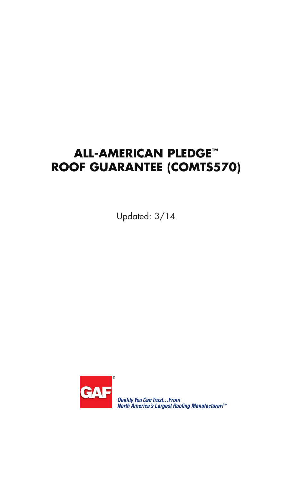# **ALL-AMERICAN PLEDGE™ ROOF GUARANTEE (COMTS570)**

Updated: 3/14



**Quality You Can Trust...From<br>North America's Largest Roofing Manufacturer!"**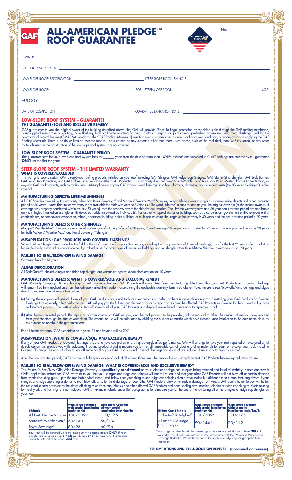## **ALL-AMERICAN PLEDGE™ ROOF GUARANTEE**



| ۸             |  |
|---------------|--|
| VNF<br>v<br>~ |  |
|               |  |

**GAF** 

BUILDING AND ADDRESS:

LOW-SLOPE ROOF: SPECIFICATION: STEEP-SLOPE ROOF: SHINGLE:

LOW-SLOPE ROOF: SQS. STEEP-SLOPE ROOF: SQS.

APPLIED BY:

DATE OF COMPLETION: GUARANTEE EXPIRATION DATE:

#### **LOW-SLOPE ROOF SYSTEM – GUARANTEE**

**THE GUARANTEE/SOLE AND EXCLUSIVE REMEDY**

**EXCREMENT OR AN EXCREME STRESS (See Also Addition to the Units This Follow results are also associated the stress of a stress (See Also Addition to the Units Control of the Units Control of the Units Control of the Units** GAF guarantees to you, the original owner of the building described above, that GAF will provide "Edge To Edge" protection by repairing leaks through the GAF roofing membrane, liquid-applied membrane or coating, base flashing, high wall waterprooting flashing, insulation, expansion joint covers, preflashed accessories, and metal flashings used by the contractor of record that meet SMACNA standards (the "GAF Roofing Materials") resulting from a manufacturing defect, ordinary wear and tear, or workmanship in applying the GAF Rooting Materials. There is no dollar limit on covered repairs. Leaks caused by any materials other than those listed above, such as the root deck, non-GAF insulation, or any other materials used in the construction of the low-slope roof system, are not covered.

#### **LOW-SLOPE ROOF SYSTEM – GUARANTEE PERIOD**

\_ years from the date of completion. NOTE: Lexsuco® and uncoated M-Curb™ flashings are covered by this guarantee This guarantee term for your Low-Slope Roof System lasts for \_<br>**ONLY** for the first ten years.

#### **STEEP-SLOPE ROOF SYSTEM – THE LIMITED WARRANTY WHAT IS COVERED/EXCLUDED**

This warranty covers certain GAF Steep-Slope rooting products installed on your root including GAF Shingles, GAF Ridge Cap Shingles, GAF Starter Strip Shingles, GAF Leak Barrier,<br>GAF Roof Deck Protection, and GAF Cobra® At any non-GAF root products, such as rooting nails. Misapplication ot your GAF Products and tlashings at valleys, dormers, chimneys, and plumbing vents (the "Covered Flashings") is also covered.

#### **MANUFACTURING DEFECTS: LIFETIME SHINGLES**

All GAF Shingles covered by this warranty, other than Royal Sovereign® and Marquis® WeatherMax® Shingles, carry a Lifetime warranty against manufacturing defects and a non-prorated period of 50 years. (Note: This limited warranty is not available for roofs with Sentinel® Shingles.) The word "Lifetime" means as long as you, the original owner(s) [or the second owner(s) if coverage was properly transferred within the first 20 years], own the property where the shingles are installed. The Lifetime warranty term and 50-year non-prorated period are applicable only to shingles installed on a single-family detached residence owned by individual(s). For any other type of owner or building, such as a corporation, government entity, religious entity, condominium, or homeowner association, school, apartment building, office building, or multi-use structure, the length of the warranty is 40 years and the non-prorated period is 20 years.

#### **MANUFACTURING DEFECTS: OTHER SHINGLES**

Marquis® WeatherMax® Shingles are warranted against manufacturing defects for 30 years; Royal Sovereign® Shingles are warranted for 25 years. The non-prorated period is 20 years for both Marquis® WeatherMax® and Royal Sovereign® Shingles.

#### **MISAPPLICATION: GAF PRODUCTS AND COVERED FLASHINGS**

When Litetime Shingles are installed in the tield ot the root, coverage tor application errors, including the misapplication ot Covered Flashings, lasts tor the tirst 25 years atter installation for single family detached residences owned by individual(s). For other types ot owners or buildings and tor shingles other than Litetime Shingles, coverage lasts for 20 years.

#### **FAILURE TO SEAL/BLOW-OFFS/WIND DAMAGE**

Coverage lasts for 15 years.

### **ALGAE DISCOLORATION**

All StainGuard®-labeled shingles and ridge cap shingles are warranted against algae discoloration for 10 years.

#### **MANUFACTURING DEFECTS: WHAT IS COVERED/SOLE AND EXCLUSIVE REMEDY**

GAF Warranty Company, LLC, a subsidiary of GAF, warrants that your GAF Products will remain free from manufacturing defects and that your GAF Products and Covered Flashings will remain free from application errors that adversely affect their performance during the applicable warranty term listed above. Note: Failure to seal/blow-offs/wind damage and algae discoloration are covered separately below.

- (a) During the non-prorated period: If any of your GAF Products are found to have a manufacturing defect or there is an application error in installing your GAF Products or Covered Flashings that adversely affect performance, GAF will pay you the full reasonable cost of labor to repair or re-cover the affected GAF Products or Covered Flashings, and will provide replacement products. The costs of labor to tear off some or all of your GAF Products and disposal are included if necessary to repair your roof.
- (b) After the non-prorated period: The repair or re-cover cost which GAF will pay, and the root products to be provided, will be reduced to reflect the amount of use you have received from your root through the date ot your claim. The amount ot use will be calculated by dividing the number ot months which have elapsed since installation to the date ot the claim by the number of months in the guarantee term.

For a Lifetime warranty, GAF's contribution in years 51 and beyond will be 20%.

#### **MISAPPLICATION: WHAT IS COVERED/SOLE AND EXCLUSIVE REMEDY**

It any ot your GAF Products or Covered Flashings is tound to have application errors that adversely aftect performance, GAF will arrange to have your root repaired or re-covered or, at its sole option, will provide you with replacement roofing product(s) and reimburse you for the full reasonable cost of labor and other materials to repair or re-cover your roof, including Covered Flashings. The costs of labor to tear off some or all of your GAF Products and Covered Flashings and disposal are included if necessary to repair your roof.

After the non-prorated period, GAF's maximum liability for any roof shall NOT exceed three times the reasonable cost of replacement GAF Products before any reduction for use.

#### **FAILURE TO SEAL/BLOW-OFFS/WIND DAMAGE: WHAT IS COVERED/SOLE AND EXCLUSIVE REMEDY**

This Failure To Seal/Blow-Offs/Wind Damage Warranty is **specifically conditioned** on your shingles or ridge cap shingles being fastened and installed **strictly** in accordance with GAF's application instructions. GAF warrants to you that your shingles and ridge cap shingles will not fail to seal and that your other GAF Products will not blow off or sustain damage from winds (including gusts) up to the applicable wind speed listed below after your shingles and ridge cap shingles should have sealed but did not due to a manufacturing defect. If your shingles and ridge cap shingles do fail to seal, blow off, or suffer wind damage, or your other GAF Products blow off or sustain damage from winds, GAF's contribution to you will be for the reasonable costs of replacing the blown-off shingles or ridge cap shingles and other affected GAF Products and hand-sealing any unsealed shingles or ridge cap shingles. Costs relating to metal work and flashings are not included. GAF's maximum liability under this paragraph is to reimburse you for the cost of hand-sealing all of the shingles or ridge cap shingles on your roof.

| <b>Shinale</b>                                                                            | <b>Wind Speed Coverage</b> | <b>Wind Speed Coverage</b><br>with special installation without special<br>(mph/km/h) installation (mph/km/h) |  |
|-------------------------------------------------------------------------------------------|----------------------------|---------------------------------------------------------------------------------------------------------------|--|
| All GAF Lifetime Shingles   130/209*                                                      |                            | 110/175                                                                                                       |  |
| Marquis <sup>®</sup> WeatherMax <sup>®</sup>                                              | 80/130                     | 80/130                                                                                                        |  |
| Royal Sovereign <sup>®</sup>                                                              | 60/96                      | 60/96                                                                                                         |  |
| *Value of the later control of the development of the control when <b>ANIIV</b> of the co |                            |                                                                                                               |  |

\*Your roof will be covered up to the maximum wind speed above **ONLY** if your shingles are installed using **6 nails** per shingle **and** you have GAF Starter Strip Products installed at the eaves **and** rakes.

| <b>Ridge Cap Shingle</b>                   | <b>Wind Speed Coverage</b><br>with special installation<br>$\frac{mph}{km/h}$ | <b>Wind Speed Coverage</b><br>without special<br>installation (mph/km/h) |
|--------------------------------------------|-------------------------------------------------------------------------------|--------------------------------------------------------------------------|
| Timbertex <sup>®</sup> & Ridglass®         | 130/209*                                                                      | 110/175                                                                  |
| All other GAF Ridge<br><b>Cap Shingles</b> | 90/144*                                                                       | 70/112                                                                   |

\*Your ridge cap shingles will be covered up to the maximum wind speed above **ONLY** if<br>your ridge cap shingles are installed in strict accordance with the "Maximum Wind Speed<br>Coverage Under Ltd. Warranty" section of the app

**(Continued on reverse) SEE LIMITATIONS AND EXCLUSIONS ON REVERSE**